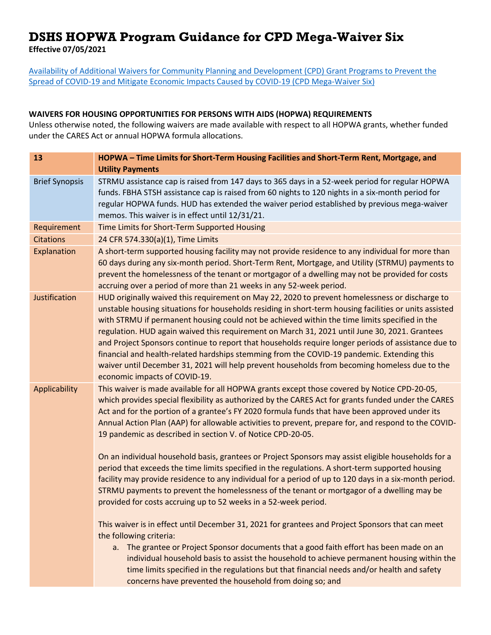## **DSHS HOPWA Program Guidance for CPD Mega-Waiver Six**

**Effective 07/05/2021** 

[Availability of Additional Waivers for Community Planning and Development \(CPD\) Grant Programs to Prevent the](https://www.hud.gov/sites/dfiles/CPD/documents/signed-2021-MegaWaiver-6_Final.pdf?utm_source=HUD+Exchange+Mailing+List&utm_campaign=6f9f331f4b-CPD_Memo_Avail_Addtl_Waivers_CPD_Prevent_7_1&utm_medium=email&utm_term=0_f32b935a5f-6f9f331f4b-19342361)  [Spread of COVID-19 and Mitigate Economic Impacts Caused by COVID-19 \(CPD Mega-Waiver Six\)](https://www.hud.gov/sites/dfiles/CPD/documents/signed-2021-MegaWaiver-6_Final.pdf?utm_source=HUD+Exchange+Mailing+List&utm_campaign=6f9f331f4b-CPD_Memo_Avail_Addtl_Waivers_CPD_Prevent_7_1&utm_medium=email&utm_term=0_f32b935a5f-6f9f331f4b-19342361)

## **WAIVERS FOR HOUSING OPPORTUNITIES FOR PERSONS WITH AIDS (HOPWA) REQUIREMENTS**

Unless otherwise noted, the following waivers are made available with respect to all HOPWA grants, whether funded under the CARES Act or annual HOPWA formula allocations.

| 13                    | HOPWA - Time Limits for Short-Term Housing Facilities and Short-Term Rent, Mortgage, and<br><b>Utility Payments</b>                                                                                                                                                                                                                                                                                                                                                                                                                                                                                                                                                                                                                               |
|-----------------------|---------------------------------------------------------------------------------------------------------------------------------------------------------------------------------------------------------------------------------------------------------------------------------------------------------------------------------------------------------------------------------------------------------------------------------------------------------------------------------------------------------------------------------------------------------------------------------------------------------------------------------------------------------------------------------------------------------------------------------------------------|
| <b>Brief Synopsis</b> | STRMU assistance cap is raised from 147 days to 365 days in a 52-week period for regular HOPWA<br>funds. FBHA STSH assistance cap is raised from 60 nights to 120 nights in a six-month period for<br>regular HOPWA funds. HUD has extended the waiver period established by previous mega-waiver<br>memos. This waiver is in effect until 12/31/21.                                                                                                                                                                                                                                                                                                                                                                                              |
| Requirement           | Time Limits for Short-Term Supported Housing                                                                                                                                                                                                                                                                                                                                                                                                                                                                                                                                                                                                                                                                                                      |
| <b>Citations</b>      | 24 CFR 574.330(a)(1), Time Limits                                                                                                                                                                                                                                                                                                                                                                                                                                                                                                                                                                                                                                                                                                                 |
| Explanation           | A short-term supported housing facility may not provide residence to any individual for more than<br>60 days during any six-month period. Short-Term Rent, Mortgage, and Utility (STRMU) payments to<br>prevent the homelessness of the tenant or mortgagor of a dwelling may not be provided for costs<br>accruing over a period of more than 21 weeks in any 52-week period.                                                                                                                                                                                                                                                                                                                                                                    |
| Justification         | HUD originally waived this requirement on May 22, 2020 to prevent homelessness or discharge to<br>unstable housing situations for households residing in short-term housing facilities or units assisted<br>with STRMU if permanent housing could not be achieved within the time limits specified in the<br>regulation. HUD again waived this requirement on March 31, 2021 until June 30, 2021. Grantees<br>and Project Sponsors continue to report that households require longer periods of assistance due to<br>financial and health-related hardships stemming from the COVID-19 pandemic. Extending this<br>waiver until December 31, 2021 will help prevent households from becoming homeless due to the<br>economic impacts of COVID-19. |
| Applicability         | This waiver is made available for all HOPWA grants except those covered by Notice CPD-20-05,<br>which provides special flexibility as authorized by the CARES Act for grants funded under the CARES<br>Act and for the portion of a grantee's FY 2020 formula funds that have been approved under its<br>Annual Action Plan (AAP) for allowable activities to prevent, prepare for, and respond to the COVID-<br>19 pandemic as described in section V. of Notice CPD-20-05.<br>On an individual household basis, grantees or Project Sponsors may assist eligible households for a<br>period that exceeds the time limits specified in the regulations. A short-term supported housing                                                           |
|                       | facility may provide residence to any individual for a period of up to 120 days in a six-month period.<br>STRMU payments to prevent the homelessness of the tenant or mortgagor of a dwelling may be<br>provided for costs accruing up to 52 weeks in a 52-week period.                                                                                                                                                                                                                                                                                                                                                                                                                                                                           |
|                       | This waiver is in effect until December 31, 2021 for grantees and Project Sponsors that can meet<br>the following criteria:                                                                                                                                                                                                                                                                                                                                                                                                                                                                                                                                                                                                                       |
|                       | a. The grantee or Project Sponsor documents that a good faith effort has been made on an<br>individual household basis to assist the household to achieve permanent housing within the<br>time limits specified in the regulations but that financial needs and/or health and safety<br>concerns have prevented the household from doing so; and                                                                                                                                                                                                                                                                                                                                                                                                  |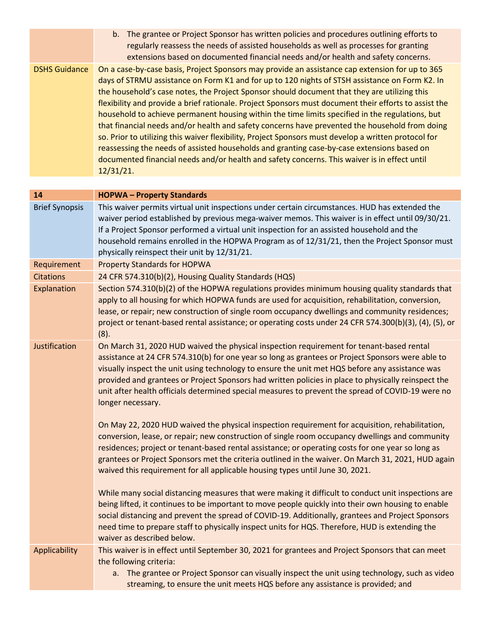|                      | b. The grantee or Project Sponsor has written policies and procedures outlining efforts to<br>regularly reassess the needs of assisted households as well as processes for granting<br>extensions based on documented financial needs and/or health and safety concerns. |
|----------------------|--------------------------------------------------------------------------------------------------------------------------------------------------------------------------------------------------------------------------------------------------------------------------|
| <b>DSHS Guidance</b> | On a case-by-case basis, Project Sponsors may provide an assistance cap extension for up to 365                                                                                                                                                                          |
|                      | days of STRMU assistance on Form K1 and for up to 120 nights of STSH assistance on Form K2. In                                                                                                                                                                           |
|                      | the household's case notes, the Project Sponsor should document that they are utilizing this                                                                                                                                                                             |
|                      | flexibility and provide a brief rationale. Project Sponsors must document their efforts to assist the                                                                                                                                                                    |
|                      | household to achieve permanent housing within the time limits specified in the regulations, but                                                                                                                                                                          |
|                      | that financial needs and/or health and safety concerns have prevented the household from doing                                                                                                                                                                           |
|                      | so. Prior to utilizing this waiver flexibility, Project Sponsors must develop a written protocol for                                                                                                                                                                     |
|                      | reassessing the needs of assisted households and granting case-by-case extensions based on                                                                                                                                                                               |
|                      | documented financial needs and/or health and safety concerns. This waiver is in effect until                                                                                                                                                                             |
|                      | 12/31/21.                                                                                                                                                                                                                                                                |

| 14                    | <b>HOPWA - Property Standards</b>                                                                                                                                                                                                                                                                                                                                                                                                                                                                                                 |
|-----------------------|-----------------------------------------------------------------------------------------------------------------------------------------------------------------------------------------------------------------------------------------------------------------------------------------------------------------------------------------------------------------------------------------------------------------------------------------------------------------------------------------------------------------------------------|
| <b>Brief Synopsis</b> | This waiver permits virtual unit inspections under certain circumstances. HUD has extended the<br>waiver period established by previous mega-waiver memos. This waiver is in effect until 09/30/21.<br>If a Project Sponsor performed a virtual unit inspection for an assisted household and the<br>household remains enrolled in the HOPWA Program as of 12/31/21, then the Project Sponsor must<br>physically reinspect their unit by 12/31/21.                                                                                |
| Requirement           | <b>Property Standards for HOPWA</b>                                                                                                                                                                                                                                                                                                                                                                                                                                                                                               |
| <b>Citations</b>      | 24 CFR 574.310(b)(2), Housing Quality Standards (HQS)                                                                                                                                                                                                                                                                                                                                                                                                                                                                             |
| Explanation           | Section 574.310(b)(2) of the HOPWA regulations provides minimum housing quality standards that<br>apply to all housing for which HOPWA funds are used for acquisition, rehabilitation, conversion,<br>lease, or repair; new construction of single room occupancy dwellings and community residences;<br>project or tenant-based rental assistance; or operating costs under 24 CFR 574.300(b)(3), (4), (5), or<br>(8).                                                                                                           |
| Justification         | On March 31, 2020 HUD waived the physical inspection requirement for tenant-based rental<br>assistance at 24 CFR 574.310(b) for one year so long as grantees or Project Sponsors were able to<br>visually inspect the unit using technology to ensure the unit met HQS before any assistance was<br>provided and grantees or Project Sponsors had written policies in place to physically reinspect the<br>unit after health officials determined special measures to prevent the spread of COVID-19 were no<br>longer necessary. |
|                       | On May 22, 2020 HUD waived the physical inspection requirement for acquisition, rehabilitation,<br>conversion, lease, or repair; new construction of single room occupancy dwellings and community<br>residences; project or tenant-based rental assistance; or operating costs for one year so long as<br>grantees or Project Sponsors met the criteria outlined in the waiver. On March 31, 2021, HUD again<br>waived this requirement for all applicable housing types until June 30, 2021.                                    |
|                       | While many social distancing measures that were making it difficult to conduct unit inspections are<br>being lifted, it continues to be important to move people quickly into their own housing to enable<br>social distancing and prevent the spread of COVID-19. Additionally, grantees and Project Sponsors<br>need time to prepare staff to physically inspect units for HQS. Therefore, HUD is extending the<br>waiver as described below.                                                                                   |
| Applicability         | This waiver is in effect until September 30, 2021 for grantees and Project Sponsors that can meet<br>the following criteria:<br>a. The grantee or Project Sponsor can visually inspect the unit using technology, such as video<br>streaming, to ensure the unit meets HQS before any assistance is provided; and                                                                                                                                                                                                                 |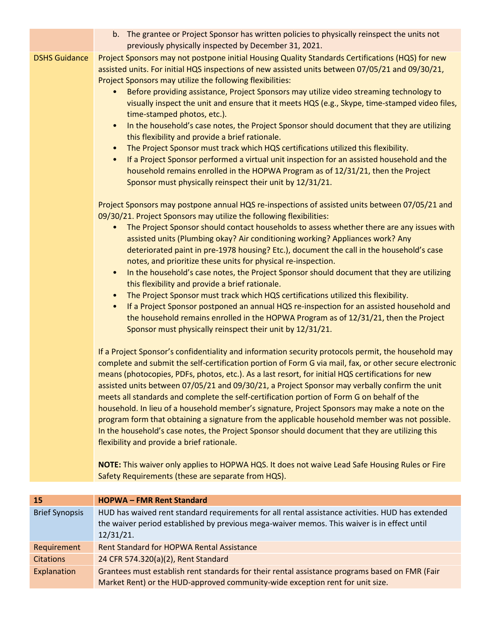|                      | b. The grantee or Project Sponsor has written policies to physically reinspect the units not<br>previously physically inspected by December 31, 2021.                                                                                                                                                                                                                                                                                                                                                                                                                                                                                                                                                                                                                                                                                                                                                                                                                                                                                           |
|----------------------|-------------------------------------------------------------------------------------------------------------------------------------------------------------------------------------------------------------------------------------------------------------------------------------------------------------------------------------------------------------------------------------------------------------------------------------------------------------------------------------------------------------------------------------------------------------------------------------------------------------------------------------------------------------------------------------------------------------------------------------------------------------------------------------------------------------------------------------------------------------------------------------------------------------------------------------------------------------------------------------------------------------------------------------------------|
| <b>DSHS Guidance</b> | Project Sponsors may not postpone initial Housing Quality Standards Certifications (HQS) for new<br>assisted units. For initial HQS inspections of new assisted units between 07/05/21 and 09/30/21,<br>Project Sponsors may utilize the following flexibilities:<br>Before providing assistance, Project Sponsors may utilize video streaming technology to<br>visually inspect the unit and ensure that it meets HQS (e.g., Skype, time-stamped video files,<br>time-stamped photos, etc.).<br>In the household's case notes, the Project Sponsor should document that they are utilizing<br>$\bullet$<br>this flexibility and provide a brief rationale.<br>The Project Sponsor must track which HQS certifications utilized this flexibility.<br>$\bullet$<br>If a Project Sponsor performed a virtual unit inspection for an assisted household and the<br>$\bullet$<br>household remains enrolled in the HOPWA Program as of 12/31/21, then the Project<br>Sponsor must physically reinspect their unit by 12/31/21.                      |
|                      | Project Sponsors may postpone annual HQS re-inspections of assisted units between 07/05/21 and<br>09/30/21. Project Sponsors may utilize the following flexibilities:<br>The Project Sponsor should contact households to assess whether there are any issues with<br>assisted units (Plumbing okay? Air conditioning working? Appliances work? Any<br>deteriorated paint in pre-1978 housing? Etc.), document the call in the household's case<br>notes, and prioritize these units for physical re-inspection.<br>In the household's case notes, the Project Sponsor should document that they are utilizing<br>$\bullet$<br>this flexibility and provide a brief rationale.<br>The Project Sponsor must track which HQS certifications utilized this flexibility.<br>$\bullet$<br>If a Project Sponsor postponed an annual HQS re-inspection for an assisted household and<br>$\bullet$<br>the household remains enrolled in the HOPWA Program as of 12/31/21, then the Project<br>Sponsor must physically reinspect their unit by 12/31/21. |
|                      | If a Project Sponsor's confidentiality and information security protocols permit, the household may<br>complete and submit the self-certification portion of Form G via mail, fax, or other secure electronic<br>means (photocopies, PDFs, photos, etc.). As a last resort, for initial HQS certifications for new<br>assisted units between 07/05/21 and 09/30/21, a Project Sponsor may verbally confirm the unit<br>meets all standards and complete the self-certification portion of Form G on behalf of the<br>household. In lieu of a household member's signature, Project Sponsors may make a note on the<br>program form that obtaining a signature from the applicable household member was not possible.<br>In the household's case notes, the Project Sponsor should document that they are utilizing this<br>flexibility and provide a brief rationale.<br>NOTE: This waiver only applies to HOPWA HQS. It does not waive Lead Safe Housing Rules or Fire                                                                         |
|                      | Safety Requirements (these are separate from HQS).                                                                                                                                                                                                                                                                                                                                                                                                                                                                                                                                                                                                                                                                                                                                                                                                                                                                                                                                                                                              |
| 15                   | <b>HOPWA-FMR Rent Standard</b>                                                                                                                                                                                                                                                                                                                                                                                                                                                                                                                                                                                                                                                                                                                                                                                                                                                                                                                                                                                                                  |

| <b>Brief Synopsis</b> | HUD has waived rent standard requirements for all rental assistance activities. HUD has extended<br>the waiver period established by previous mega-waiver memos. This waiver is in effect until<br>12/31/21. |
|-----------------------|--------------------------------------------------------------------------------------------------------------------------------------------------------------------------------------------------------------|
| Requirement           | Rent Standard for HOPWA Rental Assistance                                                                                                                                                                    |
| <b>Citations</b>      | 24 CFR 574.320(a)(2), Rent Standard                                                                                                                                                                          |
| Explanation           | Grantees must establish rent standards for their rental assistance programs based on FMR (Fair<br>Market Rent) or the HUD-approved community-wide exception rent for unit size.                              |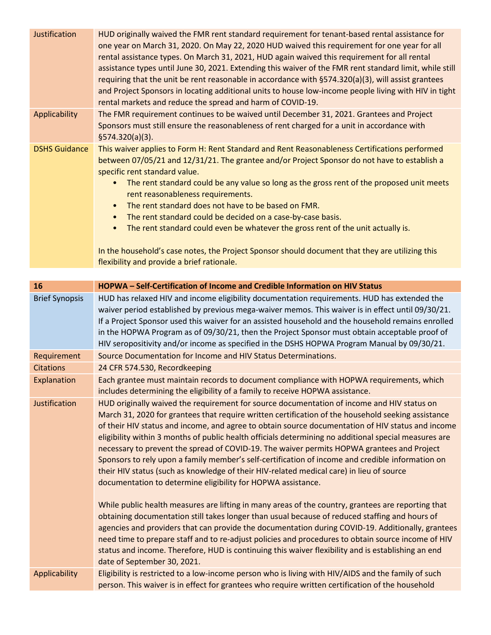| Justification        | HUD originally waived the FMR rent standard requirement for tenant-based rental assistance for<br>one year on March 31, 2020. On May 22, 2020 HUD waived this requirement for one year for all<br>rental assistance types. On March 31, 2021, HUD again waived this requirement for all rental<br>assistance types until June 30, 2021. Extending this waiver of the FMR rent standard limit, while still<br>requiring that the unit be rent reasonable in accordance with §574.320(a)(3), will assist grantees<br>and Project Sponsors in locating additional units to house low-income people living with HIV in tight<br>rental markets and reduce the spread and harm of COVID-19. |
|----------------------|----------------------------------------------------------------------------------------------------------------------------------------------------------------------------------------------------------------------------------------------------------------------------------------------------------------------------------------------------------------------------------------------------------------------------------------------------------------------------------------------------------------------------------------------------------------------------------------------------------------------------------------------------------------------------------------|
| Applicability        | The FMR requirement continues to be waived until December 31, 2021. Grantees and Project<br>Sponsors must still ensure the reasonableness of rent charged for a unit in accordance with<br>\$574.320(a)(3).                                                                                                                                                                                                                                                                                                                                                                                                                                                                            |
| <b>DSHS Guidance</b> | This waiver applies to Form H: Rent Standard and Rent Reasonableness Certifications performed<br>between 07/05/21 and 12/31/21. The grantee and/or Project Sponsor do not have to establish a<br>specific rent standard value.<br>The rent standard could be any value so long as the gross rent of the proposed unit meets<br>rent reasonableness requirements.<br>The rent standard does not have to be based on FMR.<br>$\bullet$<br>The rent standard could be decided on a case-by-case basis.<br>$\bullet$<br>The rent standard could even be whatever the gross rent of the unit actually is.<br>$\bullet$                                                                      |
|                      | In the household's case notes, the Project Sponsor should document that they are utilizing this                                                                                                                                                                                                                                                                                                                                                                                                                                                                                                                                                                                        |

flexibility and provide a brief rationale.

| 16                    | HOPWA - Self-Certification of Income and Credible Information on HIV Status                                                                                                                                                                                                                                                                                                                                                                                                                                                                                                                                                                                                                                                                                                  |
|-----------------------|------------------------------------------------------------------------------------------------------------------------------------------------------------------------------------------------------------------------------------------------------------------------------------------------------------------------------------------------------------------------------------------------------------------------------------------------------------------------------------------------------------------------------------------------------------------------------------------------------------------------------------------------------------------------------------------------------------------------------------------------------------------------------|
| <b>Brief Synopsis</b> | HUD has relaxed HIV and income eligibility documentation requirements. HUD has extended the<br>waiver period established by previous mega-waiver memos. This waiver is in effect until 09/30/21.<br>If a Project Sponsor used this waiver for an assisted household and the household remains enrolled<br>in the HOPWA Program as of 09/30/21, then the Project Sponsor must obtain acceptable proof of<br>HIV seropositivity and/or income as specified in the DSHS HOPWA Program Manual by 09/30/21.                                                                                                                                                                                                                                                                       |
| Requirement           | Source Documentation for Income and HIV Status Determinations.                                                                                                                                                                                                                                                                                                                                                                                                                                                                                                                                                                                                                                                                                                               |
| <b>Citations</b>      | 24 CFR 574.530, Recordkeeping                                                                                                                                                                                                                                                                                                                                                                                                                                                                                                                                                                                                                                                                                                                                                |
| Explanation           | Each grantee must maintain records to document compliance with HOPWA requirements, which<br>includes determining the eligibility of a family to receive HOPWA assistance.                                                                                                                                                                                                                                                                                                                                                                                                                                                                                                                                                                                                    |
| Justification         | HUD originally waived the requirement for source documentation of income and HIV status on<br>March 31, 2020 for grantees that require written certification of the household seeking assistance<br>of their HIV status and income, and agree to obtain source documentation of HIV status and income<br>eligibility within 3 months of public health officials determining no additional special measures are<br>necessary to prevent the spread of COVID-19. The waiver permits HOPWA grantees and Project<br>Sponsors to rely upon a family member's self-certification of income and credible information on<br>their HIV status (such as knowledge of their HIV-related medical care) in lieu of source<br>documentation to determine eligibility for HOPWA assistance. |
|                       | While public health measures are lifting in many areas of the country, grantees are reporting that<br>obtaining documentation still takes longer than usual because of reduced staffing and hours of<br>agencies and providers that can provide the documentation during COVID-19. Additionally, grantees<br>need time to prepare staff and to re-adjust policies and procedures to obtain source income of HIV<br>status and income. Therefore, HUD is continuing this waiver flexibility and is establishing an end<br>date of September 30, 2021.                                                                                                                                                                                                                         |
| Applicability         | Eligibility is restricted to a low-income person who is living with HIV/AIDS and the family of such<br>person. This waiver is in effect for grantees who require written certification of the household                                                                                                                                                                                                                                                                                                                                                                                                                                                                                                                                                                      |